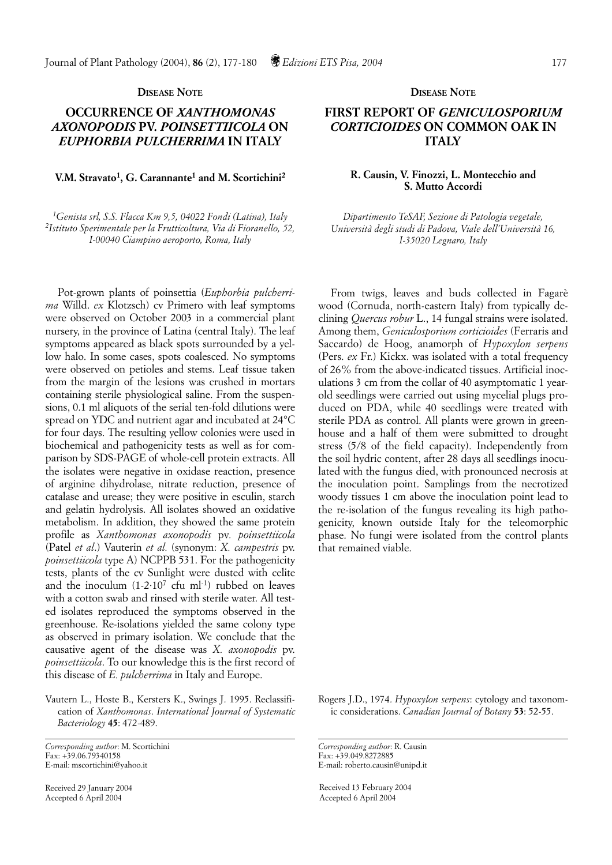## **DISEASE NOTE**

# **OCCURRENCE OF** *XANTHOMONAS AXONOPODIS* **PV.** *POINSETTIICOLA* **ON** *EUPHORBIA PULCHERRIMA* **IN ITALY**

## **V.M. Stravato1, G. Carannante1 and M. Scortichini2**

*1Genista srl, S.S. Flacca Km 9,5, 04022 Fondi (Latina), Italy 2Istituto Sperimentale per la Frutticoltura, Via di Fioranello, 52, I-00040 Ciampino aeroporto, Roma, Italy*

Pot-grown plants of poinsettia (*Euphorbia pulcherrima* Willd. *ex* Klotzsch) cv Primero with leaf symptoms were observed on October 2003 in a commercial plant nursery, in the province of Latina (central Italy). The leaf symptoms appeared as black spots surrounded by a yellow halo. In some cases, spots coalesced. No symptoms were observed on petioles and stems. Leaf tissue taken from the margin of the lesions was crushed in mortars containing sterile physiological saline. From the suspensions, 0.1 ml aliquots of the serial ten-fold dilutions were spread on YDC and nutrient agar and incubated at 24°C for four days. The resulting yellow colonies were used in biochemical and pathogenicity tests as well as for comparison by SDS-PAGE of whole-cell protein extracts. All the isolates were negative in oxidase reaction, presence of arginine dihydrolase, nitrate reduction, presence of catalase and urease; they were positive in esculin, starch and gelatin hydrolysis. All isolates showed an oxidative metabolism. In addition, they showed the same protein profile as *Xanthomonas axonopodis* pv*. poinsettiicola* (Patel *et al*.) Vauterin *et al.* (synonym: *X. campestris* pv. *poinsettiicola* type A) NCPPB 531. For the pathogenicity tests, plants of the cv Sunlight were dusted with celite and the inoculum  $(1-2.10^7 \text{ cfu m}^{-1})$  rubbed on leaves with a cotton swab and rinsed with sterile water. All tested isolates reproduced the symptoms observed in the greenhouse. Re-isolations yielded the same colony type as observed in primary isolation. We conclude that the causative agent of the disease was *X. axonopodis* pv. *poinsettiicola*. To our knowledge this is the first record of this disease of *E. pulcherrima* in Italy and Europe.

Vautern L., Hoste B., Kersters K., Swings J. 1995. Reclassification of *Xanthomonas*. *International Journal of Systematic Bacteriology* **45**: 472-489.

Received 29 January 2004 Accepted 6 April 2004

#### **DISEASE NOTE**

# **FIRST REPORT OF** *GENICULOSPORIUM CORTICIOIDES* **ON COMMON OAK IN ITALY**

### **R. Causin, V. Finozzi, L. Montecchio and S. Mutto Accordi**

*Dipartimento TeSAF, Sezione di Patologia vegetale, Università degli studi di Padova, Viale dell'Università 16, I-35020 Legnaro, Italy*

From twigs, leaves and buds collected in Fagarè wood (Cornuda, north-eastern Italy) from typically declining *Quercus robur* L., 14 fungal strains were isolated. Among them, *Geniculosporium corticioides* (Ferraris and Saccardo) de Hoog, anamorph of *Hypoxylon serpens* (Pers. *ex* Fr.) Kickx. was isolated with a total frequency of 26% from the above-indicated tissues. Artificial inoculations 3 cm from the collar of 40 asymptomatic 1 yearold seedlings were carried out using mycelial plugs produced on PDA, while 40 seedlings were treated with sterile PDA as control. All plants were grown in greenhouse and a half of them were submitted to drought stress (5/8 of the field capacity). Independently from the soil hydric content, after 28 days all seedlings inoculated with the fungus died, with pronounced necrosis at the inoculation point. Samplings from the necrotized woody tissues 1 cm above the inoculation point lead to the re-isolation of the fungus revealing its high pathogenicity, known outside Italy for the teleomorphic phase. No fungi were isolated from the control plants that remained viable.

Rogers J.D., 1974. *Hypoxylon serpens*: cytology and taxonomic considerations. *Canadian Journal of Botany* **53**: 52-55.

*Corresponding author*: R. Causin Fax: +39.049.8272885 E-mail: roberto.causin@unipd.it

Received 13 February 2004 Accepted 6 April 2004

*Corresponding author*: M. Scortichini Fax: +39.06.79340158 E-mail: mscortichini@yahoo.it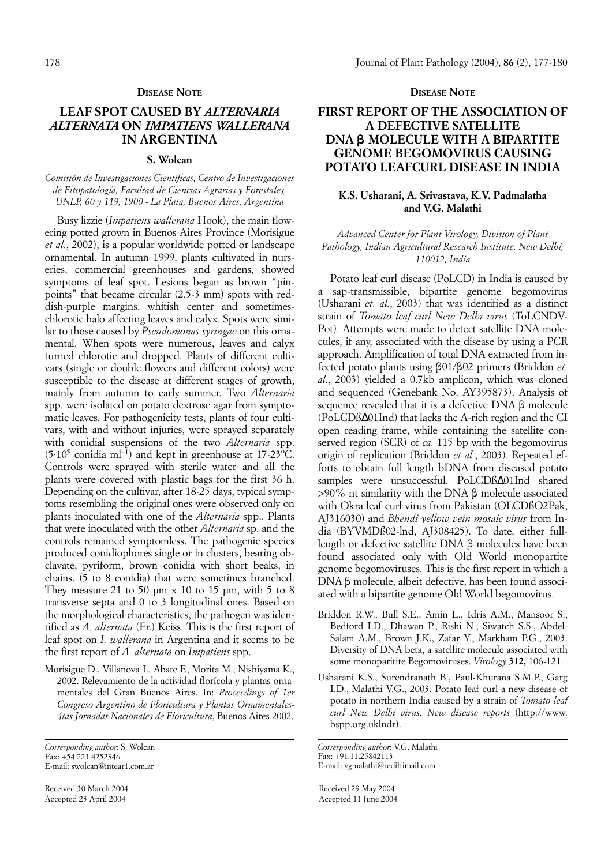#### **DISEASE NOTE**

## **LEAF SPOT CAUSED BY** *ALTERNARIA ALTERNATA* **ON** *IMPATIENS WALLERANA* **IN ARGENTINA**

### **S. Wolcan**

### *Comisión de Investigaciones Científicas, Centro de Investigaciones de Fitopatología, Facultad de Ciencias Agrarias y Forestales, UNLP, 60 y 119, 1900 - La Plata, Buenos Aires, Argentina*

Busy lizzie (*Impatiens wallerana* Hook), the main flowering potted grown in Buenos Aires Province (Morisigue *et al*., 2002), is a popular worldwide potted or landscape ornamental. In autumn 1999, plants cultivated in nurseries, commercial greenhouses and gardens, showed symptoms of leaf spot. Lesions began as brown "pinpoints" that became circular (2.5-3 mm) spots with reddish-purple margins, whitish center and sometimeschlorotic halo affecting leaves and calyx. Spots were similar to those caused by *Pseudomonas syringae* on this ornamental. When spots were numerous, leaves and calyx turned chlorotic and dropped. Plants of different cultivars (single or double flowers and different colors) were susceptible to the disease at different stages of growth, mainly from autumn to early summer. Two *Alternaria* spp. were isolated on potato dextrose agar from symptomatic leaves. For pathogenicity tests, plants of four cultivars, with and without injuries, were sprayed separately with conidial suspensions of the two *Alternaria* spp.  $(5.10^5 \text{ conidia ml}^{-1})$  and kept in greenhouse at 17-23°C. Controls were sprayed with sterile water and all the plants were covered with plastic bags for the first 36 h. Depending on the cultivar, after 18-25 days, typical symptoms resembling the original ones were observed only on plants inoculated with one of the *Alternaria* spp.. Plants that were inoculated with the other *Alternaria* sp. and the controls remained symptomless. The pathogenic species produced conidiophores single or in clusters, bearing obclavate, pyriform, brown conidia with short beaks, in chains. (5 to 8 conidia) that were sometimes branched. They measure 21 to 50  $\mu$ m x 10 to 15  $\mu$ m, with 5 to 8 transverse septa and 0 to 3 longitudinal ones. Based on the morphological characteristics, the pathogen was identified as *A. alternata* (Fr.) Keiss. This is the first report of leaf spot on *I. wallerana* in Argentina and it seems to be the first report of *A. alternata* on *Impatiens* spp.*.*

Morisigue D., Villanova I., Abate F., Morita M., Nishiyama K., 2002. Relevamiento de la actividad florícola y plantas ornamentales del Gran Buenos Aires. In: *Proceedings of 1er Congreso Argentino de Floricultura y Plantas Ornamentales-4tas Jornadas Nacionales de Floricultura*, Buenos Aires 2002.

Received 30 March 2004 Accepted 23 April 2004

### **DISEASE NOTE**

## **FIRST REPORT OF THE ASSOCIATION OF A DEFECTIVE SATELLITE DNA b MOLECULE WITH A BIPARTITE GENOME BEGOMOVIRUS CAUSING POTATO LEAFCURL DISEASE IN INDIA**

### **K.S. Usharani, A. Srivastava, K.V. Padmalatha and V.G. Malathi**

### *Advanced Center for Plant Virology, Division of Plant Pathology, Indian Agricultural Research Institute, New Delhi, 110012, India*

Potato leaf curl disease (PoLCD) in India is caused by a sap-transmissible, bipartite genome begomovirus (Usharani *et. al.*, 2003) that was identified as a distinct strain of *Tomato leaf curl New Delhi virus* (ToLCNDV-Pot). Attempts were made to detect satellite DNA molecules, if any, associated with the disease by using a PCR approach. Amplification of total DNA extracted from infected potato plants using  $\beta$ 01/ $\beta$ 02 primers (Briddon *et.*) *al.*, 2003) yielded a 0.7kb amplicon, which was cloned and sequenced (Genebank No. AY395873). Analysis of sequence revealed that it is a defective  $DNA \beta$  molecule (PoLCDß∆01Ind) that lacks the A-rich region and the CI open reading frame, while containing the satellite conserved region (SCR) of *ca.* 115 bp with the begomovirus origin of replication (Briddon *et al.*, 2003). Repeated efforts to obtain full length bDNA from diseased potato samples were unsuccessful. PoLCDß∆01Ind shared  $>90\%$  nt similarity with the DNA  $\beta$  molecule associated with Okra leaf curl virus from Pakistan (OLCDßO2Pak, AJ316030) and *Bhendi yellow vein mosaic virus* from India (BYVMDß02-lnd, AJ308425). To date, either fulllength or defective satellite  $DNA \beta$  molecules have been found associated only with Old World monopartite genome begomoviruses. This is the first report in which a DNA  $\beta$  molecule, albeit defective, has been found associated with a bipartite genome Old World begomovirus.

- Briddon R.W., Bull S.E., Amin L., Idris A.M., Mansoor S., Bedford I.D., Dhawan P., Rishi N., Siwatch S.S., Abdel-Salam A.M., Brown J.K., Zafar Y., Markham P.G., 2003. Diversity of DNA beta, a satellite molecule associated with some monoparitite Begomoviruses. *Virology* **312,** 106-121.
- Usharani K.S., Surendranath B., Paul-Khurana S.M.P., Garg I.D., Malathi V.G., 2003. Potato leaf curl-a new disease of potato in northern India caused by a strain of *Tomato leaf curl New Delhi virus. New disease reports* (http://www. bspp.org.uklndr).

*Corresponding author*: V.G. Malathi Fax: +91.11.25842113 E-mail: vgmalathi@rediffimail.com

Received 29 May 2004 Accepted 11 June 2004

*Corresponding author*: S. Wolcan Fax: +54 221 4252346 E-mail: swolcan@intear1.com.ar